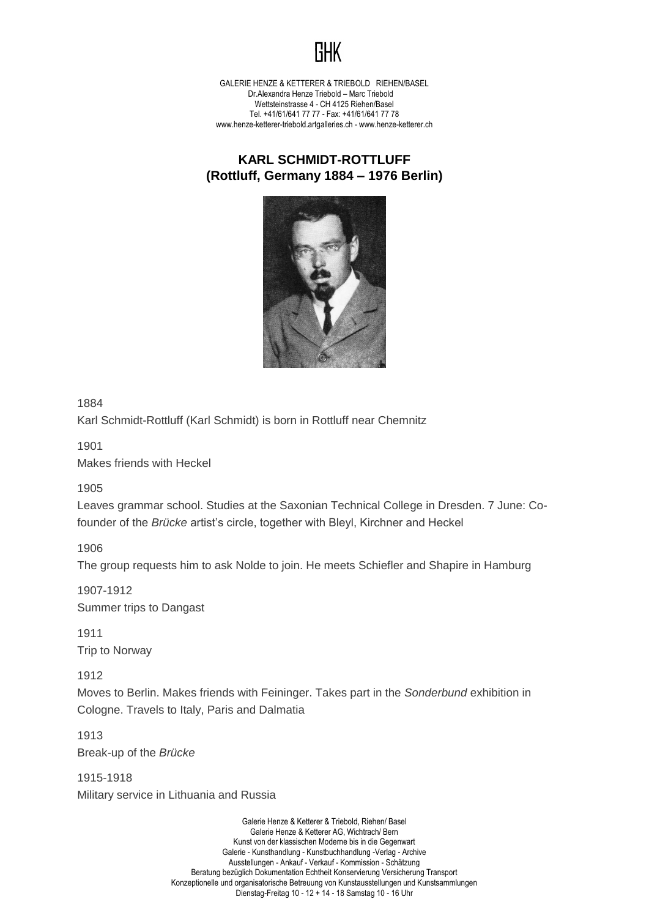

GALERIE HENZE & KETTERER & TRIEBOLD RIEHEN/BASEL Dr.Alexandra Henze Triebold – Marc Triebold Wettsteinstrasse 4 - CH 4125 Riehen/Basel Tel. +41/61/641 77 77 - Fax: +41/61/641 77 78 www.henze-ketterer-triebold.artgalleries.ch - www.henze-ketterer.ch

## **KARL SCHMIDT-ROTTLUFF (Rottluff, Germany 1884 – 1976 Berlin)**



1884

Karl Schmidt-Rottluff (Karl Schmidt) is born in Rottluff near Chemnitz

1901

Makes friends with Heckel

1905

Leaves grammar school. Studies at the Saxonian Technical College in Dresden. 7 June: Cofounder of the *Brücke* artist's circle, together with Bleyl, Kirchner and Heckel

1906

The group requests him to ask Nolde to join. He meets Schiefler and Shapire in Hamburg

1907-1912 Summer trips to Dangast

1911 Trip to Norway

1912

Moves to Berlin. Makes friends with Feininger. Takes part in the *Sonderbund* exhibition in Cologne. Travels to Italy, Paris and Dalmatia

1913 Break-up of the *Brücke*

1915-1918 Military service in Lithuania and Russia

> Galerie Henze & Ketterer & Triebold, Riehen/ Basel Galerie Henze & Ketterer AG, Wichtrach/ Bern Kunst von der klassischen Moderne bis in die Gegenwart Galerie - Kunsthandlung - Kunstbuchhandlung -Verlag - Archive Ausstellungen - Ankauf - Verkauf - Kommission - Schätzung Beratung bezüglich Dokumentation Echtheit Konservierung Versicherung Transport Konzeptionelle und organisatorische Betreuung von Kunstausstellungen und Kunstsammlungen Dienstag-Freitag 10 - 12 + 14 - 18 Samstag 10 - 16 Uhr